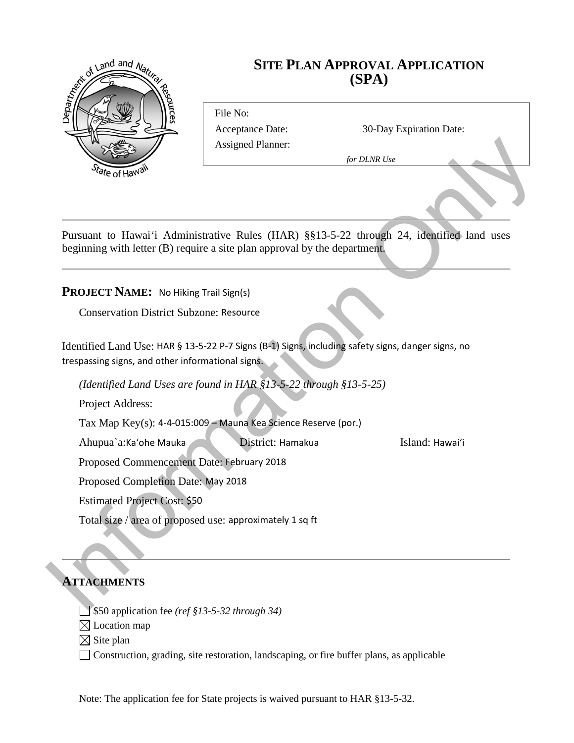

# **SITE PLAN APPROVAL APPLICATION (SPA)**

File No: Assigned Planner:

Acceptance Date: 30-Day Expiration Date:

*for DLNR Use*

Assigned Planner:<br>
Sometheast<br>
Dependence Consistent Comparison (State Consistent Consistent Comparison Constraints)<br>
PROIECT NAME: No Hiking Trail Sign(s)<br>
Conservation District Subvence Resource<br>
Identified Land Use: HA Pursuant to Hawai'i Administrative Rules (HAR) §§13-5-22 through 24, identified land uses beginning with letter (B) require a site plan approval by the department.

#### **PROJECT NAME:** No Hiking Trail Sign(s)

Conservation District Subzone: Resource

Identified Land Use: HAR § 13-5-22 P-7 Signs (B-1) Signs, including safety signs, danger signs, no trespassing signs, and other informational signs.

*(Identified Land Uses are found in HAR §13-5-22 through §13-5-25)*

Project Address:

Tax Map Key(s): 4-4-015:009 – Mauna Kea Science Reserve (por.)

Ahupua`a:Ka'ohe Mauka District: Hamakua Island: Hawai'i

Proposed Commencement Date: February 2018

Proposed Completion Date: May 2018

Estimated Project Cost: \$50

Total size / area of proposed use: approximately 1 sq ft

## **ATTACHMENTS**

\$50 application fee *(ref §13-5-32 through 34)*

 $\boxtimes$  Location map

 $\boxtimes$  Site plan

Construction, grading, site restoration, landscaping, or fire buffer plans, as applicable

Note: The application fee for State projects is waived pursuant to HAR §13-5-32.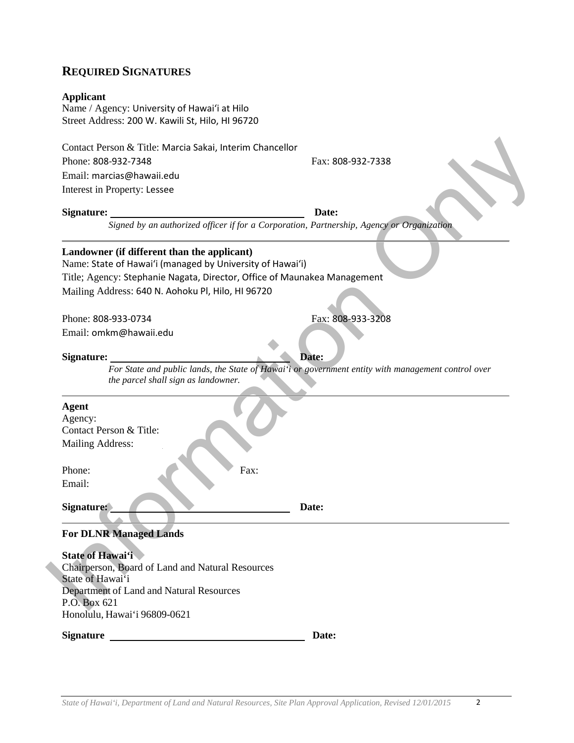# **REQUIRED SIGNATURES**

### **Applicant**

Name / Agency: University of Hawaiʻi at Hilo Street Address: 200 W. Kawili St, Hilo, HI 96720

| Contact Person & Title: Marcia Sakai, Interim Chancellor                                                                                  |                   |
|-------------------------------------------------------------------------------------------------------------------------------------------|-------------------|
| Phone: 808-932-7348                                                                                                                       | Fax: 808-932-7338 |
| Email: marcias@hawaii.edu                                                                                                                 |                   |
| Interest in Property: Lessee                                                                                                              |                   |
| <b>Signature:</b>                                                                                                                         | Date:             |
| Signed by an authorized officer if for a Corporation, Partnership, Agency or Organization                                                 |                   |
| Landowner (if different than the applicant)<br>Name: State of Hawai'i (managed by University of Hawai'i)                                  |                   |
| Title; Agency: Stephanie Nagata, Director, Office of Maunakea Management                                                                  |                   |
| Mailing Address: 640 N. Aohoku Pl, Hilo, HI 96720                                                                                         |                   |
|                                                                                                                                           |                   |
| Phone: 808-933-0734                                                                                                                       | Fax: 808-933-3208 |
| Email: omkm@hawaii.edu                                                                                                                    |                   |
|                                                                                                                                           |                   |
| <b>Signature:</b>                                                                                                                         | Date:             |
| For State and public lands, the State of Hawai'i or government entity with management control over<br>the parcel shall sign as landowner. |                   |
| <b>Agent</b>                                                                                                                              |                   |
| Agency:                                                                                                                                   |                   |
| Contact Person & Title:                                                                                                                   |                   |
| Mailing Address:                                                                                                                          |                   |
| Phone:<br>Fax:                                                                                                                            |                   |
| Email:                                                                                                                                    |                   |
| Signature:                                                                                                                                | Date:             |
| <b>For DLNR Managed Lands</b>                                                                                                             |                   |
| <b>State of Hawai'i</b><br>Chairperson, Board of Land and Natural Resources                                                               |                   |
| State of Hawai'i                                                                                                                          |                   |
| Department of Land and Natural Resources                                                                                                  |                   |
| P.O. Box 621                                                                                                                              |                   |
| Honolulu, Hawai'i 96809-0621                                                                                                              |                   |
| Signature                                                                                                                                 | Date:             |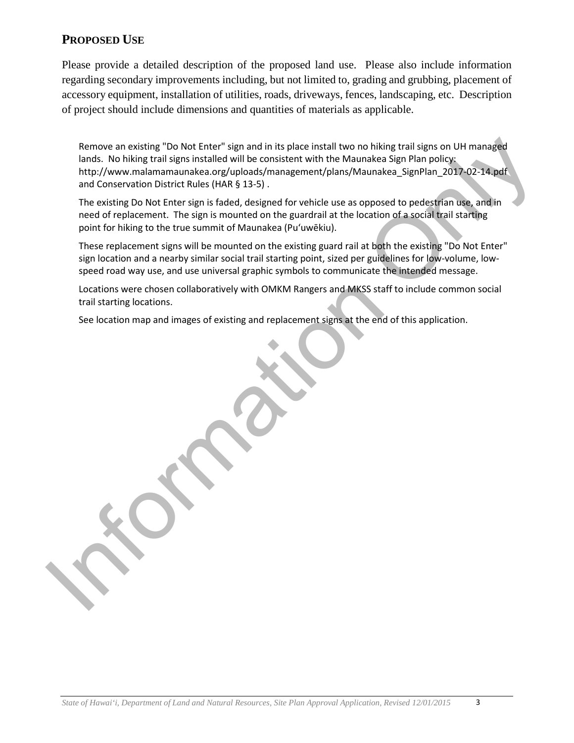## **PROPOSED USE**

Please provide a detailed description of the proposed land use. Please also include information regarding secondary improvements including, but not limited to, grading and grubbing, placement of accessory equipment, installation of utilities, roads, driveways, fences, landscaping, etc. Description of project should include dimensions and quantities of materials as applicable.

Remove an existing "Do Not Enter" sign and in its place install two no hiking trail signs on UH managed lands. No hiking trail signs installed will be consistent with the Maunakea Sign Plan policy: http://www.malamamaunakea.org/uploads/management/plans/Maunakea\_SignPlan\_2017-02-14.pdf and Conservation District Rules (HAR § 13-5) .

The existing Do Not Enter sign is faded, designed for vehicle use as opposed to pedestrian use, and in need of replacement. The sign is mounted on the guardrail at the location of a social trail starting point for hiking to the true summit of Maunakea (Puʻuwēkiu).

These replacement signs will be mounted on the existing guard rail at both the existing "Do Not Enter" sign location and a nearby similar social trail starting point, sized per guidelines for low-volume, lowspeed road way use, and use universal graphic symbols to communicate the intended message.

Locations were chosen collaboratively with OMKM Rangers and MKSS staff to include common social trail starting locations.

See location map and images of existing and replacement signs at the end of this application.

Remove an existing "Do Not Forte" sign and in its place loration to on histographs and the studients and the studients and the studients and the studients of the Manuska and Place in the Manuska and Conservation District R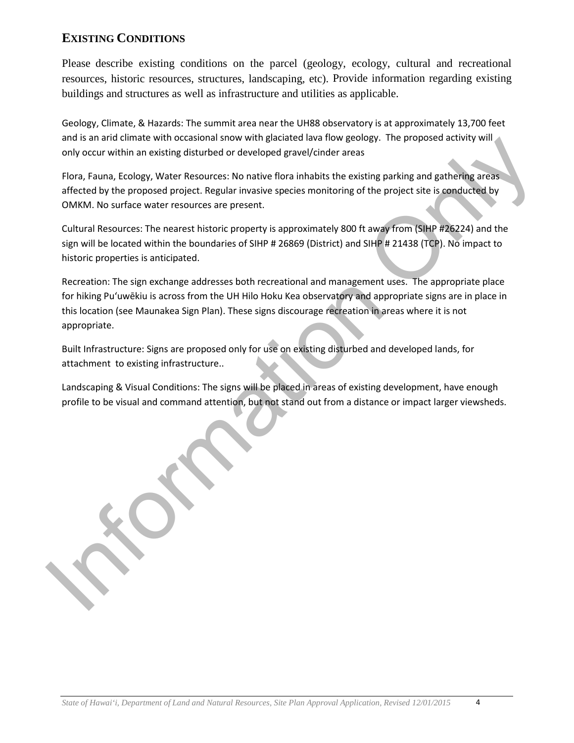# **EXISTING CONDITIONS**

Please describe existing conditions on the parcel (geology, ecology, cultural and recreational resources, historic resources, structures, landscaping, etc). Provide information regarding existing buildings and structures as well as infrastructure and utilities as applicable.

Geology, Climate, & Hazards: The summit area near the UH88 observatory is at approximately 13,700 feet and is an arid climate with occasional snow with glaciated lava flow geology. The proposed activity will only occur within an existing disturbed or developed gravel/cinder areas

Flora, Fauna, Ecology, Water Resources: No native flora inhabits the existing parking and gathering areas affected by the proposed project. Regular invasive species monitoring of the project site is conducted by OMKM. No surface water resources are present.

Cultural Resources: The nearest historic property is approximately 800 ft away from (SIHP #26224) and the sign will be located within the boundaries of SIHP # 26869 (District) and SIHP # 21438 (TCP). No impact to historic properties is anticipated.

Recreation: The sign exchange addresses both recreational and management uses. The appropriate place for hiking Puʻuwēkiu is across from the UH Hilo Hoku Kea observatory and appropriate signs are in place in this location (see Maunakea Sign Plan). These signs discourage recreation in areas where it is not appropriate.

Built Infrastructure: Signs are proposed only for use on existing disturbed and developed lands, for attachment to existing infrastructure..

Landscaping & Visual Conditions: The signs will be placed in areas of existing development, have enough profile to be visual and command attention, but not stand out from a distance or impact larger viewsheds.

and is a far and dimense want occasional strow with gadacted taw and geology. The proposes activity will only occur within an existing disturbed of developed gave/icinder areas<br>
Flors, Fauna, Ecology, Water Recources: No n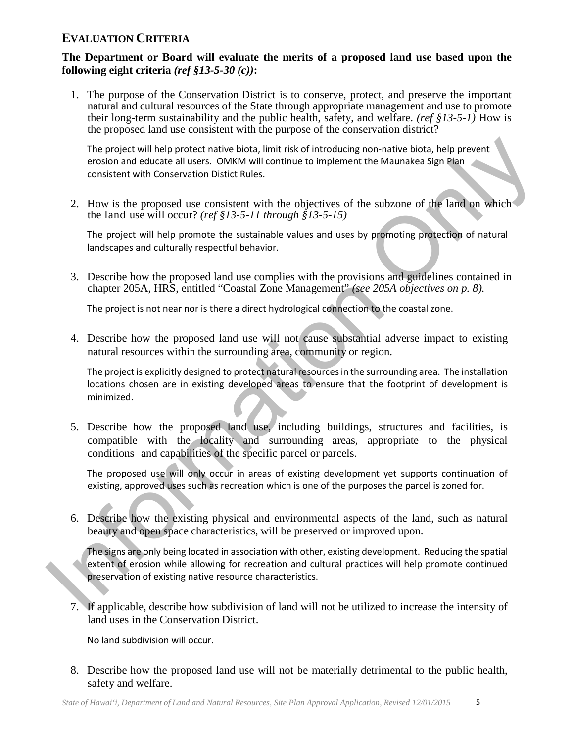## **EVALUATION CRITERIA**

#### **The Department or Board will evaluate the merits of a proposed land use based upon the following eight criteria** *(ref §13-5-30 (c))***:**

1. The purpose of the Conservation District is to conserve, protect, and preserve the important natural and cultural resources of the State through appropriate management and use to promote their long-term sustainability and the public health, safety, and welfare. *(ref §13-5-1)* How is the proposed land use consistent with the purpose of the conservation district?

The project will help protect native biota, limit risk of introducing non-native biota, help prevent erosion and educate all users. OMKM will continue to implement the Maunakea Sign Plan consistent with Conservation Distict Rules.

2. How is the proposed use consistent with the objectives of the subzone of the land on which the land use will occur? *(ref §13-5-11 through §13-5-15)*

The project will help promote the sustainable values and uses by promoting protection of natural landscapes and culturally respectful behavior.

3. Describe how the proposed land use complies with the provisions and guidelines contained in chapter 205A, HRS, entitled "Coastal Zone Management" *(see 205A objectives on p. 8).*

The project is not near nor is there a direct hydrological connection to the coastal zone.

4. Describe how the proposed land use will not cause substantial adverse impact to existing natural resources within the surrounding area, community or region.

The project is explicitly designed to protect natural resources in the surrounding area. The installation locations chosen are in existing developed areas to ensure that the footprint of development is minimized.

The project will help protect native births, limit risk of introducing non-native births, help prevent<br>erosion and educate all users. OMKN will continue to implement the Maunakea Sign Plan<br>consistent with Conservation Dis 5. Describe how the proposed land use, including buildings, structures and facilities, is compatible with the locality and surrounding areas, appropriate to the physical conditions and capabilities of the specific parcel or parcels.

The proposed use will only occur in areas of existing development yet supports continuation of existing, approved uses such as recreation which is one of the purposes the parcel is zoned for.

6. Describe how the existing physical and environmental aspects of the land, such as natural beauty and open space characteristics, will be preserved or improved upon.

The signs are only being located in association with other, existing development. Reducing the spatial extent of erosion while allowing for recreation and cultural practices will help promote continued preservation of existing native resource characteristics.

7. If applicable, describe how subdivision of land will not be utilized to increase the intensity of land uses in the Conservation District.

No land subdivision will occur.

8. Describe how the proposed land use will not be materially detrimental to the public health, safety and welfare.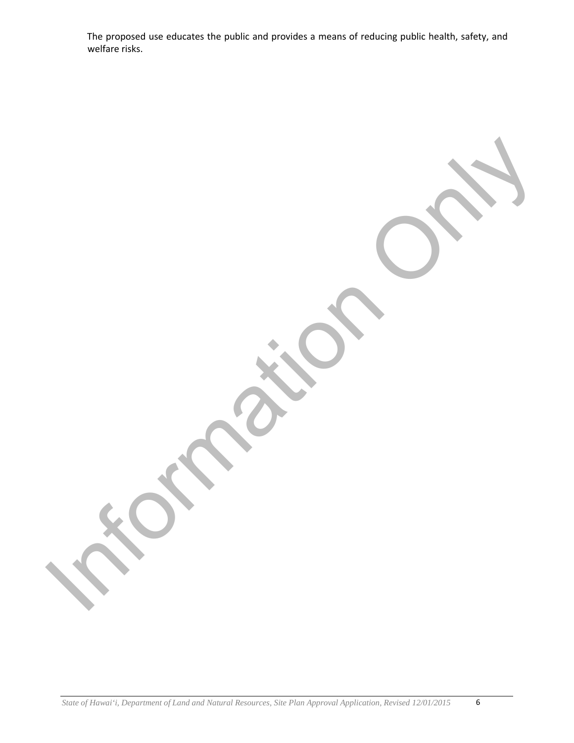The proposed use educates the public and provides a means of reducing public health, safety, and welfare risks.

Information Only

*State of Hawai'i, Department of Land and Natural Resources, Site Plan Approval Application, Revised 12/01/2015* 6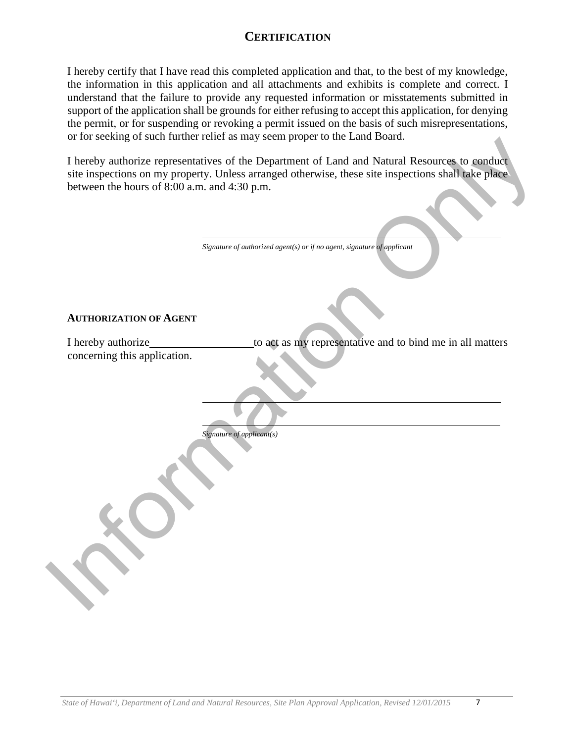## **CERTIFICATION**

I hereby certify that I have read this completed application and that, to the best of my knowledge, the information in this application and all attachments and exhibits is complete and correct. I understand that the failure to provide any requested information or misstatements submitted in support of the application shall be grounds for either refusing to accept this application, for denying the permit, or for suspending or revoking a permit issued on the basis of such misrepresentations, or for seeking of such further relief as may seem proper to the Land Board.

Interview was intervals and the Department of Land and Natural Resources. Co senditors<br>are linearly analogies representatives of the Department of Land and Natural Resources. Co senditors<br>are interview on the property. Un I hereby authorize representatives of the Department of Land and Natural Resources to conduct site inspections on my property. Unless arranged otherwise, these site inspections shall take place between the hours of 8:00 a.m. and 4:30 p.m.

| Signature of authorized agent(s) or if no agent, signature of applicant |  |
|-------------------------------------------------------------------------|--|

#### **AUTHORIZATION OF AGENT**

I hereby authorize to act as my representative and to bind me in all matters concerning this application.

*Signature of applicant(s)*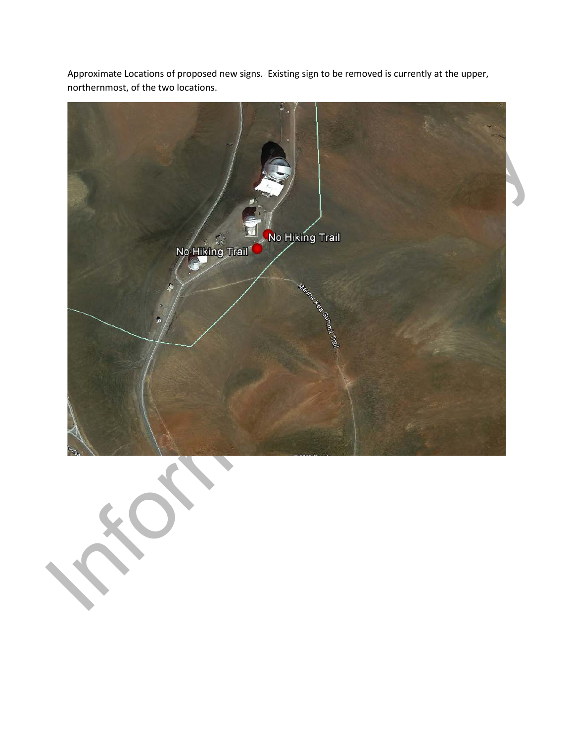

Approximate Locations of proposed new signs. Existing sign to be removed is currently at the upper, northernmost, of the two locations.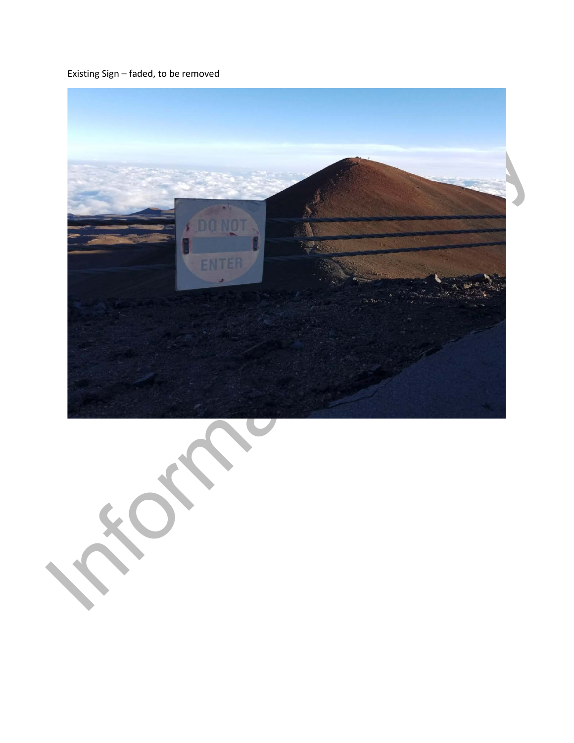Existing Sign – faded, to be removed